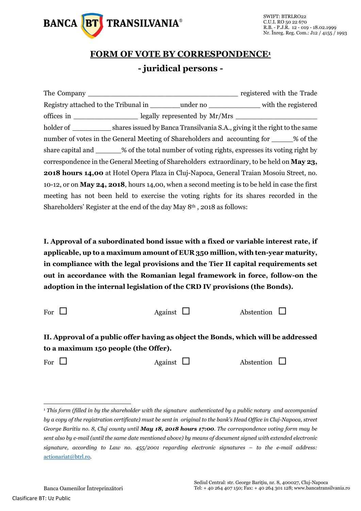

## **FORM OF VOTE BY CORRESPONDENCE<sup>1</sup> - juridical persons -**

|                                                                                                       |  |  | registered with the Trade                                                                              |  |
|-------------------------------------------------------------------------------------------------------|--|--|--------------------------------------------------------------------------------------------------------|--|
|                                                                                                       |  |  |                                                                                                        |  |
|                                                                                                       |  |  |                                                                                                        |  |
|                                                                                                       |  |  | holder of ___________________shares issued by Banca Transilvania S.A., giving it the right to the same |  |
| number of votes in the General Meeting of Shareholders and accounting for ______% of the              |  |  |                                                                                                        |  |
|                                                                                                       |  |  | share capital and _______% of the total number of voting rights, expresses its voting right by         |  |
|                                                                                                       |  |  | correspondence in the General Meeting of Shareholders extraordinary, to be held on <b>May 23</b> ,     |  |
| <b>2018 hours 14,00</b> at Hotel Opera Plaza in Cluj-Napoca, General Traian Mosoiu Street, no.        |  |  |                                                                                                        |  |
| 10-12, or on <b>May 24, 2018</b> , hours 14,00, when a second meeting is to be held in case the first |  |  |                                                                                                        |  |
|                                                                                                       |  |  | meeting has not been held to exercise the voting rights for its shares recorded in the                 |  |
| Shareholders' Register at the end of the day May $8th$ , 2018 as follows:                             |  |  |                                                                                                        |  |

**I. Approval of a subordinated bond issue with a fixed or variable interest rate, if applicable, up to a maximum amount of EUR 350 million, with ten-year maturity, in compliance with the legal provisions and the Tier II capital requirements set out in accordance with the Romanian legal framework in force, follow-on the adoption in the internal legislation of the CRD IV provisions (the Bonds).**

| For $\Box$ | Against $\Box$ | Abstention $\square$ |  |
|------------|----------------|----------------------|--|
|            |                |                      |  |

**II. Approval of a public offer having as object the Bonds, which will be addressed to a maximum 150 people (the Offer).**

-

For  $\Box$  Against  $\Box$  Abstention  $\Box$ 

<sup>1</sup> *This form (filled in by the shareholder with the signature authenticated by a public notary and accompanied by a copy of the registration certificate) must be sent in original to the bank's Head Office in Cluj-Napoca, street George Baritiu no. 8, Cluj county until May 18, 2018 hours 17:00. The correspondence voting form may be sent also by e-mail (until the same date mentioned above) by means of document signed with extended electronic signature, according to Law no. 455/2001 regarding electronic signatures – to the e-mail address:*  [actionariat@btrl.ro](mailto:actionariat@btrl.ro)*.*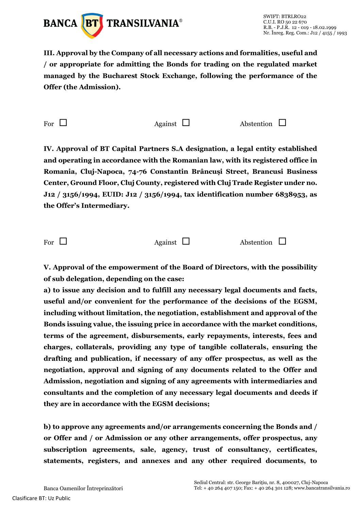

**III. Approval by the Company of all necessary actions and formalities, useful and / or appropriate for admitting the Bonds for trading on the regulated market managed by the Bucharest Stock Exchange, following the performance of the Offer (the Admission).**

For  $\Box$  Against  $\Box$  Abstention  $\Box$ 

**IV. Approval of BT Capital Partners S.A designation, a legal entity established and operating in accordance with the Romanian law, with its registered office in Romania, Cluj-Napoca, 74-76 Constantin Brâncuşi Street, Brancusi Business Center, Ground Floor, Cluj County, registered with Cluj Trade Register under no. J12 / 3156/1994, EUID: J12 / 3156/1994, tax identification number 6838953, as the Offer's Intermediary.**

For  $\Box$  Against  $\Box$  Abstention  $\Box$ 

**V. Approval of the empowerment of the Board of Directors, with the possibility of sub delegation, depending on the case:**

**a) to issue any decision and to fulfill any necessary legal documents and facts, useful and/or convenient for the performance of the decisions of the EGSM, including without limitation, the negotiation, establishment and approval of the Bonds issuing value, the issuing price in accordance with the market conditions, terms of the agreement, disbursements, early repayments, interests, fees and charges, collaterals, providing any type of tangible collaterals, ensuring the drafting and publication, if necessary of any offer prospectus, as well as the negotiation, approval and signing of any documents related to the Offer and Admission, negotiation and signing of any agreements with intermediaries and consultants and the completion of any necessary legal documents and deeds if they are in accordance with the EGSM decisions;**

**b) to approve any agreements and/or arrangements concerning the Bonds and / or Offer and / or Admission or any other arrangements, offer prospectus, any subscription agreements, sale, agency, trust of consultancy, certificates, statements, registers, and annexes and any other required documents, to**